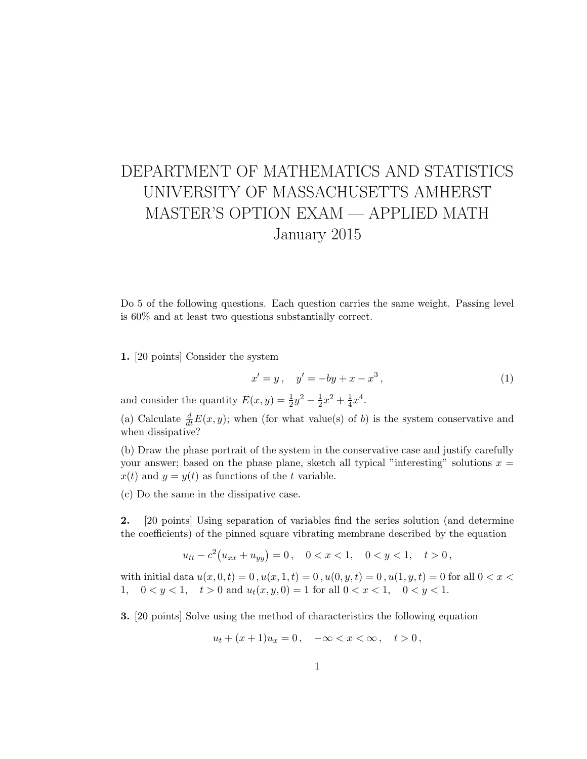## DEPARTMENT OF MATHEMATICS AND STATISTICS UNIVERSITY OF MASSACHUSETTS AMHERST MASTER'S OPTION EXAM — APPLIED MATH January 2015

Do 5 of the following questions. Each question carries the same weight. Passing level is 60% and at least two questions substantially correct.

1. [20 points] Consider the system

$$
x' = y, \quad y' = -by + x - x^3,
$$
 (1)

and consider the quantity  $E(x, y) = \frac{1}{2}y^2 - \frac{1}{2}$  $\frac{1}{2}x^2 + \frac{1}{4}$  $\frac{1}{4}x^4$ .

(a) Calculate  $\frac{d}{dt}E(x, y)$ ; when (for what value(s) of b) is the system conservative and when dissipative?

(b) Draw the phase portrait of the system in the conservative case and justify carefully your answer; based on the phase plane, sketch all typical "interesting" solutions  $x =$  $x(t)$  and  $y = y(t)$  as functions of the t variable.

(c) Do the same in the dissipative case.

2. [20 points] Using separation of variables find the series solution (and determine the coefficients) of the pinned square vibrating membrane described by the equation

$$
u_{tt} - c^2 (u_{xx} + u_{yy}) = 0, \quad 0 < x < 1, \quad 0 < y < 1, \quad t > 0,
$$

with initial data  $u(x, 0, t) = 0$ ,  $u(x, 1, t) = 0$ ,  $u(0, y, t) = 0$ ,  $u(1, y, t) = 0$  for all  $0 < x <$ 1,  $0 < y < 1$ ,  $t > 0$  and  $u_t(x, y, 0) = 1$  for all  $0 < x < 1$ ,  $0 < y < 1$ .

3. [20 points] Solve using the method of characteristics the following equation

$$
u_t + (x+1)u_x = 0, \quad -\infty < x < \infty \,, \quad t > 0 \,,
$$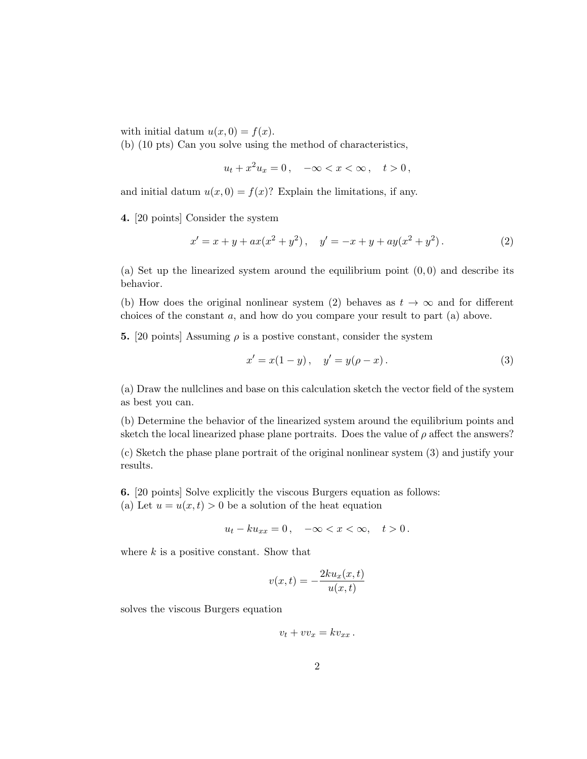with initial datum  $u(x, 0) = f(x)$ .

(b) (10 pts) Can you solve using the method of characteristics,

$$
u_t + x^2 u_x = 0, \quad -\infty < x < \infty \,, \quad t > 0 \,,
$$

and initial datum  $u(x, 0) = f(x)$ ? Explain the limitations, if any.

4. [20 points] Consider the system

$$
x' = x + y + ax(x2 + y2), y' = -x + y + ay(x2 + y2).
$$
 (2)

(a) Set up the linearized system around the equilibrium point  $(0,0)$  and describe its behavior.

(b) How does the original nonlinear system (2) behaves as  $t \to \infty$  and for different choices of the constant a, and how do you compare your result to part (a) above.

**5.** [20 points] Assuming  $\rho$  is a postive constant, consider the system

$$
x' = x(1 - y), \quad y' = y(\rho - x).
$$
 (3)

(a) Draw the nullclines and base on this calculation sketch the vector field of the system as best you can.

(b) Determine the behavior of the linearized system around the equilibrium points and sketch the local linearized phase plane portraits. Does the value of  $\rho$  affect the answers?

(c) Sketch the phase plane portrait of the original nonlinear system (3) and justify your results.

6. [20 points] Solve explicitly the viscous Burgers equation as follows:

(a) Let  $u = u(x, t) > 0$  be a solution of the heat equation

$$
u_t - k u_{xx} = 0, \quad -\infty < x < \infty, \quad t > 0 \, .
$$

where  $k$  is a positive constant. Show that

$$
v(x,t) = -\frac{2ku_x(x,t)}{u(x,t)}
$$

solves the viscous Burgers equation

$$
v_t + v v_x = k v_{xx} .
$$